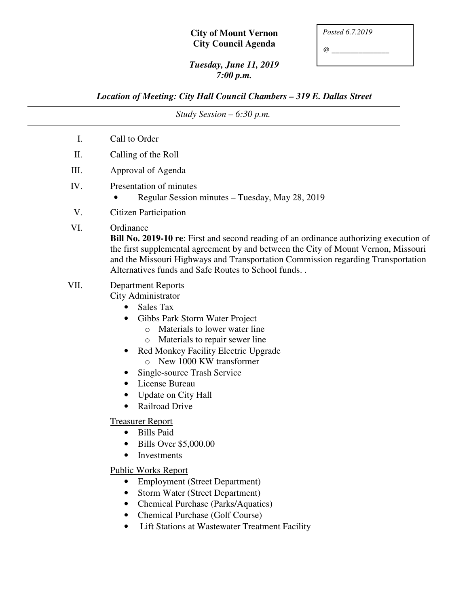## **City of Mount Vernon City Council Agenda**

*@ \_\_\_\_\_\_\_\_\_\_\_\_\_\_\_* 

## *Tuesday, June 11, 2019 7:00 p.m.*

*Location of Meeting: City Hall Council Chambers – 319 E. Dallas Street* 

| Study Session $-6:30$ p.m. |                                                                                                                                                                                                                                                                                                                                                                                                                                                                                                                                                                                                                                                                                                                                                                   |
|----------------------------|-------------------------------------------------------------------------------------------------------------------------------------------------------------------------------------------------------------------------------------------------------------------------------------------------------------------------------------------------------------------------------------------------------------------------------------------------------------------------------------------------------------------------------------------------------------------------------------------------------------------------------------------------------------------------------------------------------------------------------------------------------------------|
| Ι.                         | Call to Order                                                                                                                                                                                                                                                                                                                                                                                                                                                                                                                                                                                                                                                                                                                                                     |
| II.                        | Calling of the Roll                                                                                                                                                                                                                                                                                                                                                                                                                                                                                                                                                                                                                                                                                                                                               |
| III.                       | Approval of Agenda                                                                                                                                                                                                                                                                                                                                                                                                                                                                                                                                                                                                                                                                                                                                                |
| IV.                        | Presentation of minutes<br>Regular Session minutes - Tuesday, May 28, 2019                                                                                                                                                                                                                                                                                                                                                                                                                                                                                                                                                                                                                                                                                        |
| V.                         | <b>Citizen Participation</b>                                                                                                                                                                                                                                                                                                                                                                                                                                                                                                                                                                                                                                                                                                                                      |
| VI.                        | Ordinance<br><b>Bill No. 2019-10 re:</b> First and second reading of an ordinance authorizing execution of<br>the first supplemental agreement by and between the City of Mount Vernon, Missouri<br>and the Missouri Highways and Transportation Commission regarding Transportation<br>Alternatives funds and Safe Routes to School funds                                                                                                                                                                                                                                                                                                                                                                                                                        |
| VII.                       | <b>Department Reports</b><br><b>City Administrator</b><br>Sales Tax<br>$\bullet$<br>Gibbs Park Storm Water Project<br>Materials to lower water line<br>$\circ$<br>Materials to repair sewer line<br>$\circ$<br>Red Monkey Facility Electric Upgrade<br>New 1000 KW transformer<br>$\Omega$<br>Single-source Trash Service<br>License Bureau<br><b>Update on City Hall</b><br><b>Railroad Drive</b><br><b>Treasurer Report</b><br><b>Bills Paid</b><br>Bills Over \$5,000.00<br>Investments<br><b>Public Works Report</b><br><b>Employment (Street Department)</b><br><b>Storm Water (Street Department)</b><br><b>Chemical Purchase (Parks/Aquatics)</b><br>$\bullet$<br><b>Chemical Purchase (Golf Course)</b><br>Lift Stations at Wastewater Treatment Facility |